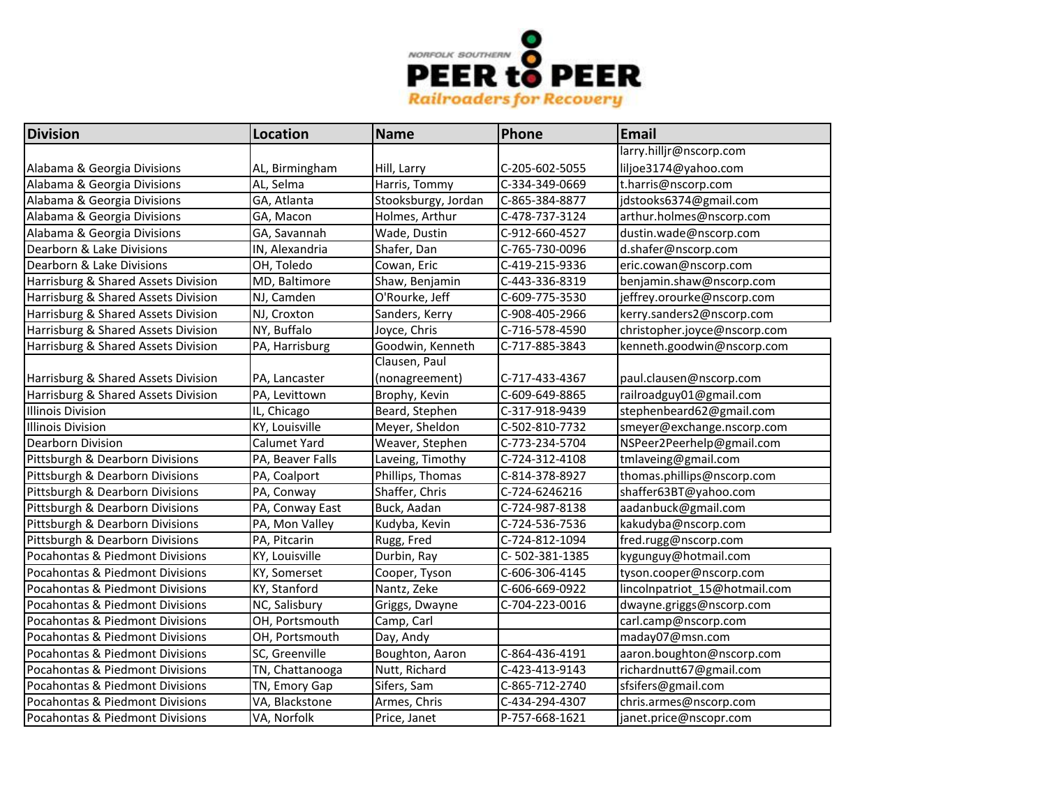

| <b>Division</b>                     | <b>Location</b>  | <b>Name</b>         | Phone          | <b>Email</b>                  |
|-------------------------------------|------------------|---------------------|----------------|-------------------------------|
|                                     |                  |                     |                | larry.hilljr@nscorp.com       |
| Alabama & Georgia Divisions         | AL, Birmingham   | Hill, Larry         | C-205-602-5055 | liljoe3174@yahoo.com          |
| Alabama & Georgia Divisions         | AL, Selma        | Harris, Tommy       | C-334-349-0669 | t.harris@nscorp.com           |
| Alabama & Georgia Divisions         | GA, Atlanta      | Stooksburgy, Jordan | C-865-384-8877 | jdstooks6374@gmail.com        |
| Alabama & Georgia Divisions         | GA, Macon        | Holmes, Arthur      | C-478-737-3124 | arthur.holmes@nscorp.com      |
| Alabama & Georgia Divisions         | GA, Savannah     | Wade, Dustin        | C-912-660-4527 | dustin.wade@nscorp.com        |
| Dearborn & Lake Divisions           | IN, Alexandria   | Shafer, Dan         | C-765-730-0096 | d.shafer@nscorp.com           |
| Dearborn & Lake Divisions           | OH, Toledo       | Cowan, Eric         | C-419-215-9336 | eric.cowan@nscorp.com         |
| Harrisburg & Shared Assets Division | MD, Baltimore    | Shaw, Benjamin      | C-443-336-8319 | benjamin.shaw@nscorp.com      |
| Harrisburg & Shared Assets Division | NJ, Camden       | O'Rourke, Jeff      | C-609-775-3530 | jeffrey.orourke@nscorp.com    |
| Harrisburg & Shared Assets Division | NJ, Croxton      | Sanders, Kerry      | C-908-405-2966 | kerry.sanders2@nscorp.com     |
| Harrisburg & Shared Assets Division | NY, Buffalo      | Joyce, Chris        | C-716-578-4590 | christopher.joyce@nscorp.com  |
| Harrisburg & Shared Assets Division | PA, Harrisburg   | Goodwin, Kenneth    | C-717-885-3843 | kenneth.goodwin@nscorp.com    |
|                                     |                  | Clausen, Paul       |                |                               |
| Harrisburg & Shared Assets Division | PA, Lancaster    | (nonagreement)      | C-717-433-4367 | paul.clausen@nscorp.com       |
| Harrisburg & Shared Assets Division | PA, Levittown    | Brophy, Kevin       | C-609-649-8865 | railroadguy01@gmail.com       |
| Illinois Division                   | IL, Chicago      | Beard, Stephen      | C-317-918-9439 | stephenbeard62@gmail.com      |
| Illinois Division                   | KY, Louisville   | Meyer, Sheldon      | C-502-810-7732 | smeyer@exchange.nscorp.com    |
| <b>Dearborn Division</b>            | Calumet Yard     | Weaver, Stephen     | C-773-234-5704 | NSPeer2Peerhelp@gmail.com     |
| Pittsburgh & Dearborn Divisions     | PA, Beaver Falls | Laveing, Timothy    | C-724-312-4108 | tmlaveing@gmail.com           |
| Pittsburgh & Dearborn Divisions     | PA, Coalport     | Phillips, Thomas    | C-814-378-8927 | thomas.phillips@nscorp.com    |
| Pittsburgh & Dearborn Divisions     | PA, Conway       | Shaffer, Chris      | C-724-6246216  | shaffer63BT@yahoo.com         |
| Pittsburgh & Dearborn Divisions     | PA, Conway East  | Buck, Aadan         | C-724-987-8138 | aadanbuck@gmail.com           |
| Pittsburgh & Dearborn Divisions     | PA, Mon Valley   | Kudyba, Kevin       | C-724-536-7536 | kakudyba@nscorp.com           |
| Pittsburgh & Dearborn Divisions     | PA, Pitcarin     | Rugg, Fred          | C-724-812-1094 | fred.rugg@nscorp.com          |
| Pocahontas & Piedmont Divisions     | KY, Louisville   | Durbin, Ray         | C-502-381-1385 | kygunguy@hotmail.com          |
| Pocahontas & Piedmont Divisions     | KY, Somerset     | Cooper, Tyson       | C-606-306-4145 | tyson.cooper@nscorp.com       |
| Pocahontas & Piedmont Divisions     | KY, Stanford     | Nantz, Zeke         | C-606-669-0922 | lincolnpatriot 15@hotmail.com |
| Pocahontas & Piedmont Divisions     | NC, Salisbury    | Griggs, Dwayne      | C-704-223-0016 | dwayne.griggs@nscorp.com      |
| Pocahontas & Piedmont Divisions     | OH, Portsmouth   | Camp, Carl          |                | carl.camp@nscorp.com          |
| Pocahontas & Piedmont Divisions     | OH, Portsmouth   | Day, Andy           |                | maday07@msn.com               |
| Pocahontas & Piedmont Divisions     | SC, Greenville   | Boughton, Aaron     | C-864-436-4191 | aaron.boughton@nscorp.com     |
| Pocahontas & Piedmont Divisions     | TN, Chattanooga  | Nutt, Richard       | C-423-413-9143 | richardnutt67@gmail.com       |
| Pocahontas & Piedmont Divisions     | TN, Emory Gap    | Sifers, Sam         | C-865-712-2740 | sfsifers@gmail.com            |
| Pocahontas & Piedmont Divisions     | VA, Blackstone   | Armes, Chris        | C-434-294-4307 | chris.armes@nscorp.com        |
| Pocahontas & Piedmont Divisions     | VA, Norfolk      | Price, Janet        | P-757-668-1621 | janet.price@nscopr.com        |